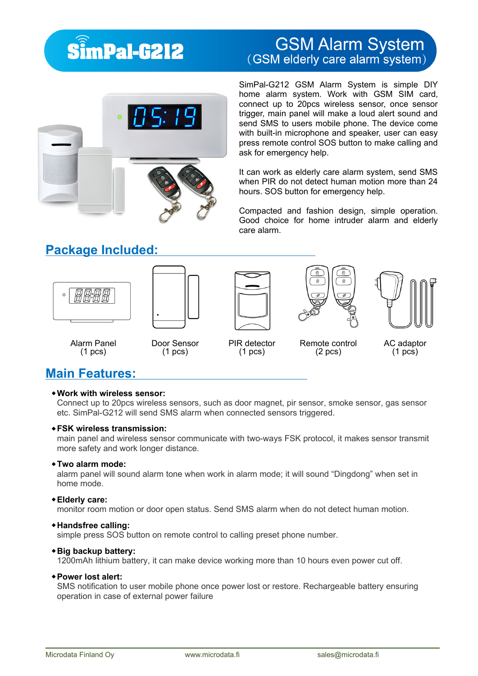## **SimPal-G212**

# **GSM Alarm System**<br>(GSM elderly care alarm system)



SimPal-G212 GSM Alarm System is simple DIY home alarm system. Work with GSM SIM card, connect up to 20pcs wireless sensor, once sensor trigger, main panel will make a loud alert sound and send SMS to users mobile phone. The device come with built-in microphone and speaker, user can easy press remote control SOS button to make calling and ask for emergency help.

It can work as elderly care alarm system, send SMS when PIR do not detect human motion more than 24 hours. SOS button for emergency help.

Compacted and fashion design, simple operation. Good choice for home intruder alarm and elderly care alarm.

## **Package Included:**











Alarm Panel (1 pcs)

Door Sensor (1 pcs)

PIR detector (1 pcs)

Remote control (2 pcs)

AC adaptor (1 pcs)

## **Main Features:**

#### **Work with wireless sensor:**

Connect up to 20pcs wireless sensors, such as door magnet, pir sensor, smoke sensor, gas sensor etc. SimPal-G212 will send SMS alarm when connected sensors triggered.

#### **FSK wireless transmission:**

main panel and wireless sensor communicate with two-ways FSK protocol, it makes sensor transmit more safety and work longer distance.

#### **Two alarm mode:**

alarm panel will sound alarm tone when work in alarm mode; it will sound "Dingdong" when set in home mode.

#### **Elderly care:**

monitor room motion or door open status. Send SMS alarm when do not detect human motion.

#### **Handsfree calling:**

simple press SOS button on remote control to calling preset phone number.

#### **Big backup battery:**

1200mAh lithium battery, it can make device working more than 10 hours even power cut off.

#### **Power lost alert:**

SMS notification to user mobile phone once power lost or restore. Rechargeable battery ensuring operation in case of external power failure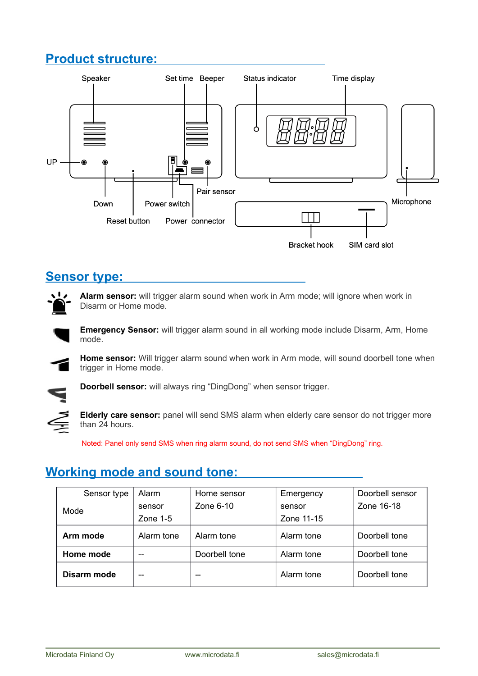## **Product structure:**



### **Sensor type:**



**Alarm sensor:** will trigger alarm sound when work in Arm mode; will ignore when work in Disarm or Home mode.

**Emergency Sensor:** will trigger alarm sound in all working mode include Disarm, Arm, Home mode.

**Home sensor:** Will trigger alarm sound when work in Arm mode, will sound doorbell tone when trigger in Home mode.



**Doorbell sensor:** will always ring "DingDong" when sensor trigger.

**Elderly care sensor:** panel will send SMS alarm when elderly care sensor do not trigger more than 24 hours.

Noted: Panel only send SMS when ring alarm sound, do not send SMS when "DingDong" ring.

## **Working mode and sound tone:**

| Sensor type | Alarm      | Home sensor   | Emergency  | Doorbell sensor |
|-------------|------------|---------------|------------|-----------------|
| Mode        | sensor     | Zone $6-10$   | sensor     | Zone 16-18      |
|             | Zone $1-5$ |               | Zone 11-15 |                 |
| Arm mode    | Alarm tone | Alarm tone    | Alarm tone | Doorbell tone   |
| Home mode   | $- -$      | Doorbell tone | Alarm tone | Doorbell tone   |
| Disarm mode | --         |               | Alarm tone | Doorbell tone   |